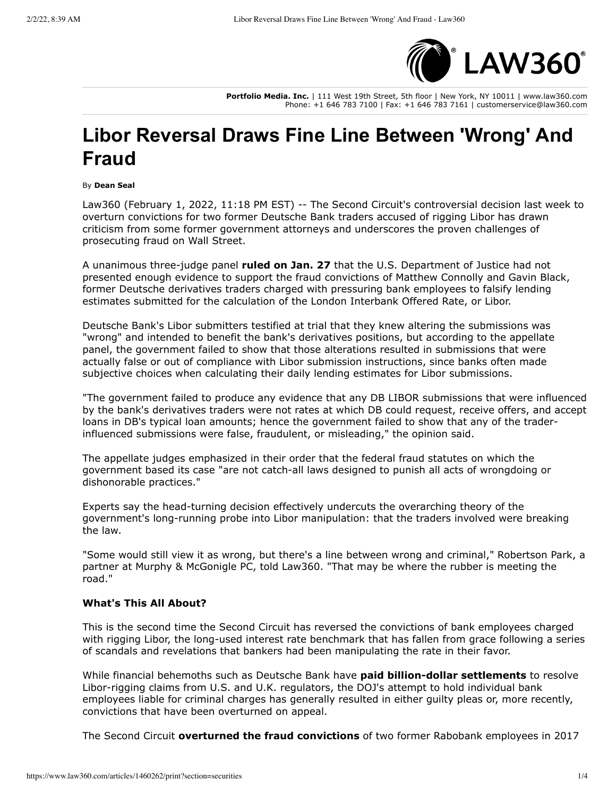

**Portfolio Media. Inc.** | 111 West 19th Street, 5th floor | New York, NY 10011 | www.law360.com Phone: +1 646 783 7100 | Fax: +1 646 783 7161 | customerservice@law360.com

## **Libor Reversal Draws Fine Line Between 'Wrong' And Fraud**

B\ **Dean Seal**

Law360 (February 1, 2022, 11:18 PM EST) -- The Second Circuit's controversial decision last week to overturn convictions for two former Deutsche Bank traders accused of rigging Libor has drawn criticism from some former government attorneys and underscores the proven challenges of prosecuting fraud on Wall Street.

A unanimous three-judge panel ruled on Jan. 27 that the U.S. Department of Justice had not presented enough evidence to support the fraud convictions of Matthew Connolly and Gavin Black, former Deutsche derivatives traders charged with pressuring bank employees to falsify lending estimates submitted for the calculation of the London Interbank Offered Rate, or Libor.

Deutsche Bank's Libor submitters testified at trial that they knew altering the submissions was "wrong" and intended to benefit the bank's derivatives positions, but according to the appellate panel, the government failed to show that those alterations resulted in submissions that were actually false or out of compliance with Libor submission instructions, since banks often made subjective choices when calculating their daily lending estimates for Libor submissions.

"The government failed to produce any evidence that any DB LIBOR submissions that were influenced by the bank's derivatives traders were not rates at which DB could request, receive offers, and accept loans in DB's typical loan amounts; hence the government failed to show that any of the traderinfluenced submissions were false, fraudulent, or misleading," the opinion said.

The appellate judges emphasized in their order that the federal fraud statutes on which the government based its case "are not catch-all laws designed to punish all acts of wrongdoing or dishonorable practices."

Experts say the head-turning decision effectively undercuts the overarching theory of the government's long-running probe into Libor manipulation: that the traders involved were breaking the law.

"Some would still view it as wrong, but there's a line between wrong and criminal," Robertson Park, a partner at Murphy & McGonigle PC, told Law360. "That may be where the rubber is meeting the road."

## **What's This All About?**

This is the second time the Second Circuit has reversed the convictions of bank employees charged with rigging Libor, the long-used interest rate benchmark that has fallen from grace following a series of scandals and revelations that bankers had been manipulating the rate in their favor.

While financial behemoths such as Deutsche Bank have **paid billion-dollar settlements** to resolve Libor-rigging claims from U.S. and U.K. regulators, the DOJ's attempt to hold individual bank employees liable for criminal charges has generally resulted in either guilty pleas or, more recently, convictions that have been overturned on appeal.

The Second Circuit **overturned the fraud convictions** of two former Rabobank employees in 2017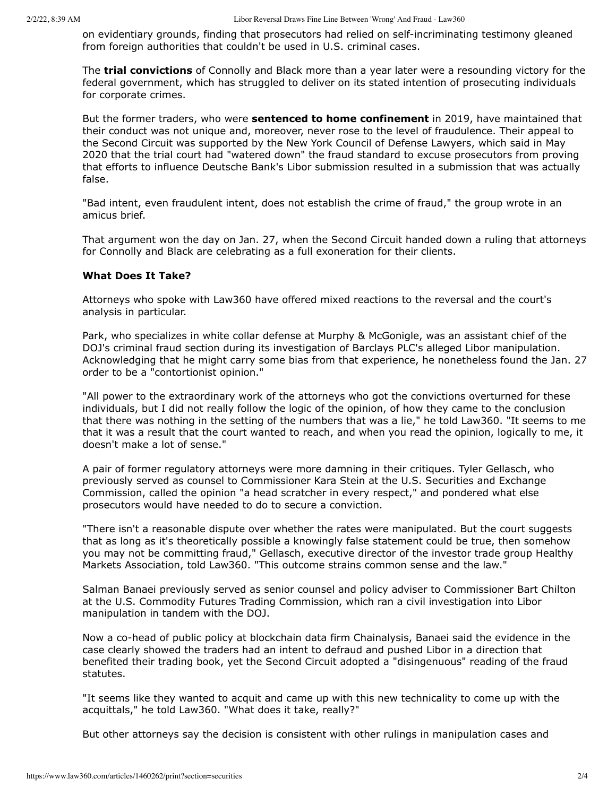on evidentiary grounds, finding that prosecutors had relied on self-incriminating testimony gleaned from foreign authorities that couldn't be used in U.S. criminal cases.

The **trial convictions** of Connolly and Black more than a year later were a resounding victory for the federal government, which has struggled to deliver on its stated intention of prosecuting individuals for corporate crimes.

But the former traders, who were **sentenced to home confinement** in 2019, have maintained that their conduct was not unique and, moreover, never rose to the level of fraudulence. Their appeal to the Second Circuit was supported by the New York Council of Defense Lawyers, which said in May 2020 that the trial court had "watered down" the fraud standard to excuse prosecutors from proving that efforts to influence Deutsche Bank's Libor submission resulted in a submission that was actually false.

"Bad intent, even fraudulent intent, does not establish the crime of fraud," the group wrote in an amicus brief.

That argument won the day on Jan. 27, when the Second Circuit handed down a ruling that attorneys for Connolly and Black are celebrating as a full exoneration for their clients.

## **What Does It Take?**

Attorneys who spoke with Law360 have offered mixed reactions to the reversal and the court's analysis in particular.

Park, who specializes in white collar defense at Murphy & McGonigle, was an assistant chief of the DOJ's criminal fraud section during its investigation of Barclays PLC's alleged Libor manipulation. Acknowledging that he might carry some bias from that experience, he nonetheless found the Jan. 27 order to be a "contortionist opinion."

"All power to the extraordinary work of the attorneys who got the convictions overturned for these individuals, but I did not really follow the logic of the opinion, of how they came to the conclusion that there was nothing in the setting of the numbers that was a lie," he told Law360. "It seems to me that it was a result that the court wanted to reach, and when you read the opinion, logically to me, it doesn't make a lot of sense."

A pair of former regulatory attorneys were more damning in their critiques. Tyler Gellasch, who previously served as counsel to Commissioner Kara Stein at the U.S. Securities and Exchange Commission, called the opinion "a head scratcher in every respect," and pondered what else prosecutors would have needed to do to secure a conviction.

"There isn't a reasonable dispute over whether the rates were manipulated. But the court suggests that as long as it's theoretically possible a knowingly false statement could be true, then somehow you may not be committing fraud," Gellasch, executive director of the investor trade group Healthy Markets Association, told Law360. "This outcome strains common sense and the law."

Salman Banaei previously served as senior counsel and policy adviser to Commissioner Bart Chilton at the U.S. Commodity Futures Trading Commission, which ran a civil investigation into Libor manipulation in tandem with the DOJ.

Now a co-head of public policy at blockchain data firm Chainalysis, Banaei said the evidence in the case clearly showed the traders had an intent to defraud and pushed Libor in a direction that benefited their trading book, yet the Second Circuit adopted a "disingenuous" reading of the fraud statutes.

"It seems like they wanted to acquit and came up with this new technicality to come up with the acquittals," he told Law360. "What does it take, really?"

But other attorneys say the decision is consistent with other rulings in manipulation cases and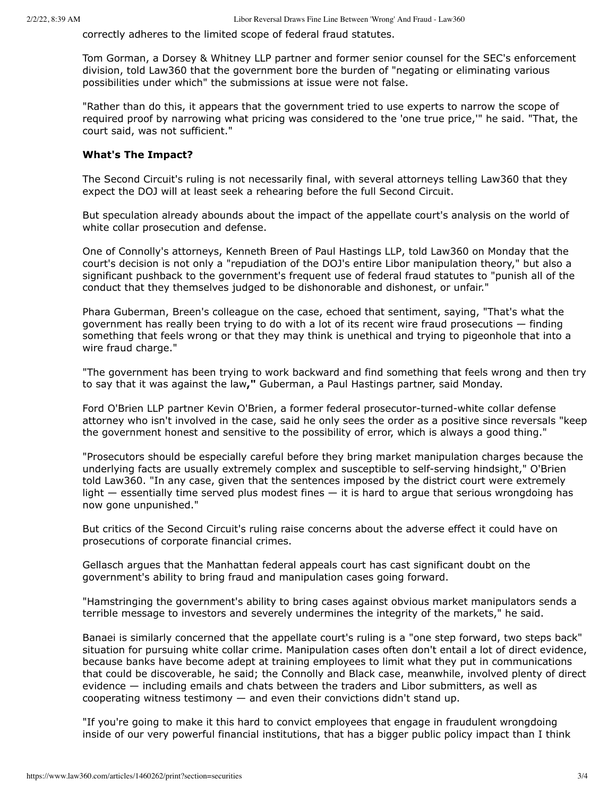correctly adheres to the limited scope of federal fraud statutes.

Tom Gorman, a Dorsey & Whitney LLP partner and former senior counsel for the SEC's enforcement division, told Law360 that the government bore the burden of "negating or eliminating various possibilities under which" the submissions at issue were not false.

"Rather than do this, it appears that the government tried to use experts to narrow the scope of required proof by narrowing what pricing was considered to the 'one true price,'" he said. "That, the court said, was not sufficient."

## **What's The Impact?**

The Second Circuit's ruling is not necessarily final, with several attorneys telling Law360 that they expect the DOJ will at least seek a rehearing before the full Second Circuit.

But speculation already abounds about the impact of the appellate court's analysis on the world of white collar prosecution and defense.

One of Connolly's attorneys, Kenneth Breen of Paul Hastings LLP, told Law360 on Monday that the court's decision is not only a "repudiation of the DOJ's entire Libor manipulation theory," but also a significant pushback to the government's frequent use of federal fraud statutes to "punish all of the conduct that they themselves judged to be dishonorable and dishonest, or unfair."

Phara Guberman, Breen's colleague on the case, echoed that sentiment, saying, "That's what the government has really been trying to do with a lot of its recent wire fraud prosecutions  $-$  finding something that feels wrong or that they may think is unethical and trying to pigeonhole that into a wire fraud charge."

"The government has been trying to work backward and find something that feels wrong and then try to say that it was against the law," Guberman, a Paul Hastings partner, said Monday.

Ford O'Brien LLP partner Kevin O'Brien, a former federal prosecutor-turned-white collar defense attorney who isn't involved in the case, said he only sees the order as a positive since reversals "keep the government honest and sensitive to the possibility of error, which is always a good thing."

"Prosecutors should be especially careful before they bring market manipulation charges because the underlying facts are usually extremely complex and susceptible to self-serving hindsight," O'Brien told Law360. "In any case, given that the sentences imposed by the district court were extremely light  $-$  essentially time served plus modest fines  $-$  it is hard to argue that serious wrongdoing has now gone unpunished."

But critics of the Second Circuit's ruling raise concerns about the adverse effect it could have on prosecutions of corporate financial crimes.

Gellasch argues that the Manhattan federal appeals court has cast significant doubt on the government's ability to bring fraud and manipulation cases going forward.

"Hamstringing the government's ability to bring cases against obvious market manipulators sends a terrible message to investors and severely undermines the integrity of the markets," he said.

Banaei is similarly concerned that the appellate court's ruling is a "one step forward, two steps back" situation for pursuing white collar crime. Manipulation cases often don't entail a lot of direct evidence, because banks have become adept at training employees to limit what they put in communications that could be discoverable, he said; the Connolly and Black case, meanwhile, involved plenty of direct  $e$ vidence  $-$  including emails and chats between the traders and Libor submitters, as well as cooperating witness testimony  $-$  and even their convictions didn't stand up.

"If you're going to make it this hard to convict employees that engage in fraudulent wrongdoing inside of our very powerful financial institutions, that has a bigger public policy impact than I think